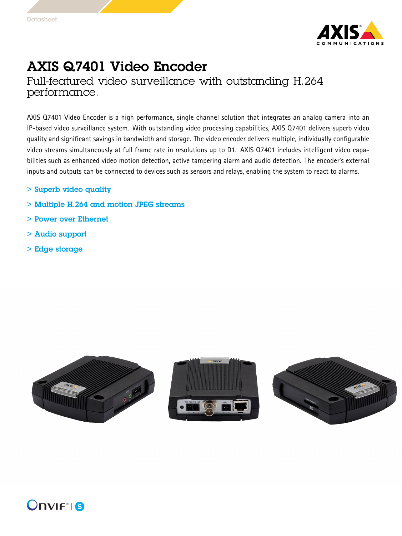

## AXIS Q7401 Video Encoder

Full-featured video surveillance with outstanding H.264 performance.

AXIS Q7401 Video Encoder is <sup>a</sup> high performance, single channel solution that integrates an analog camera into an IP-based video surveillance system. With outstanding video processing capabilities, AXIS Q7401 delivers superb video quality and significant savings in bandwidth and storage. The video encoder delivers multiple, individually configurable video streams simultaneously at full frame rate in resolutions up to D1. AXIS Q7401 includes intelligent video capabilities such as enhanced video motion detection, active tampering alarm and audio detection. The encoder's external inputs and outputs can be connected to devices such as sensors and relays, enabling the system to react to alarms.

- > Superb video quality
- > Multiple H.264 and motion JPEG streams
- > Power over Ethernet
- > Audio support
- > Edge storage